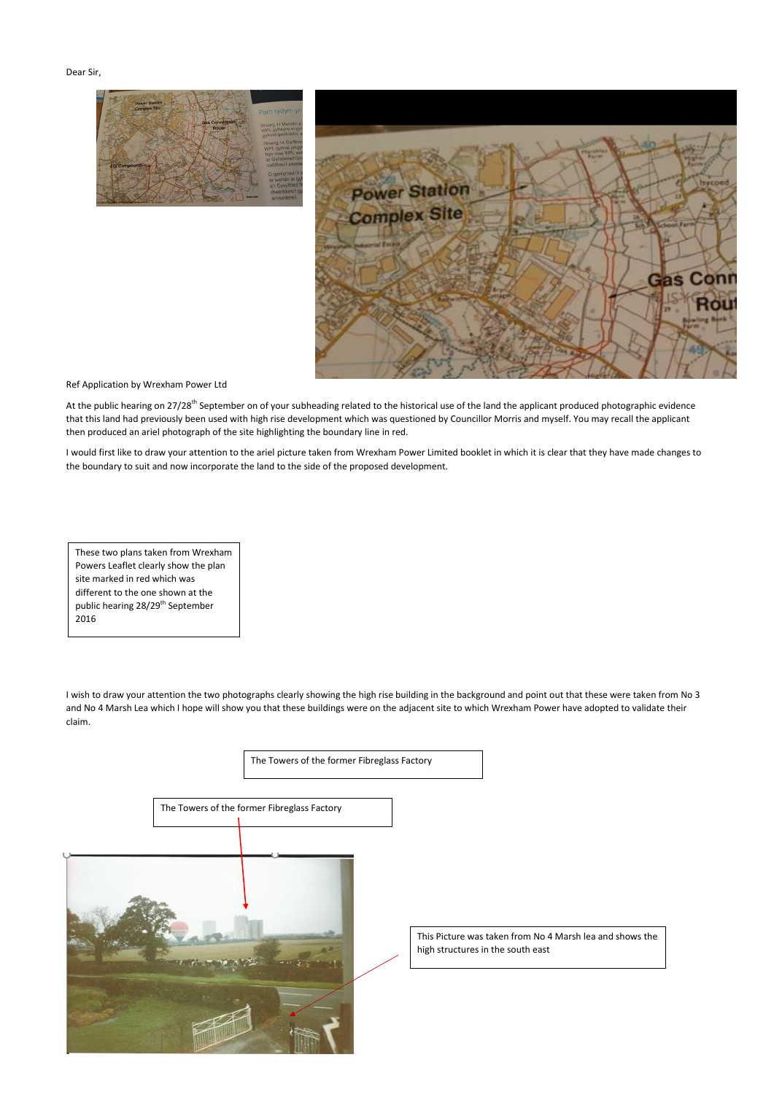The Towers of the former Fibreglass Factory

Dear Sir,





Ref Application by Wrexham Power Ltd

At the public hearing on 27/28<sup>th</sup> September on of your subheading related to the historical use of the land the applicant produced photographic evidence that this land had previously been used with high rise development which was questioned by Councillor Morris and myself. You may recall the applicant then produced an ariel photograph of the site highlighting the boundary line in red.

I would first like to draw your attention to the ariel picture taken from Wrexham Power Limited booklet in which it is clear that they have made changes to the boundary to suit and now incorporate the land to the side of the proposed development.

I wish to draw your attention the two photographs clearly showing the high rise building in the background and point out that these were taken from No 3 and No 4 Marsh Lea which I hope will show you that these buildings were on the adjacent site to which Wrexham Power have adopted to validate their claim.

These two plans taken from Wrexham Powers Leaflet clearly show the plan site marked in red which was different to the one shown at the public hearing 28/29<sup>th</sup> September 2016

> This Picture was taken from No 4 Marsh lea and shows the high structures in the south east

The Towers of the former Fibreglass Factory